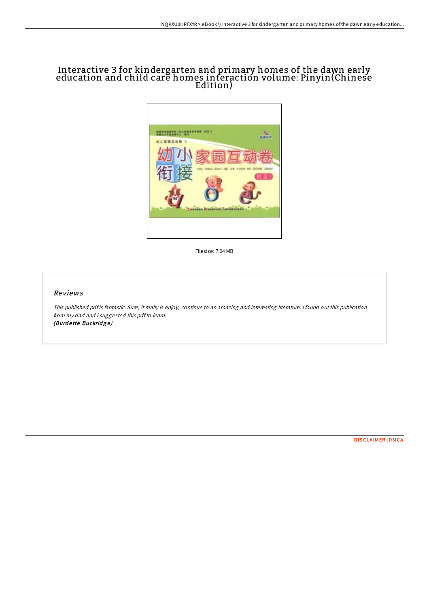## Interactive 3 for kindergarten and primary homes of the dawn early education and child care homes interaction volume: Pinyin(Chinese Edition)



Filesize: 7.04 MB

## Reviews

This published pdf is fantastic. Sure, it really is enjoy, continue to an amazing and interesting literature. I found out this publication from my dad and i suggested this pdfto learn. (Burdette Buckridge)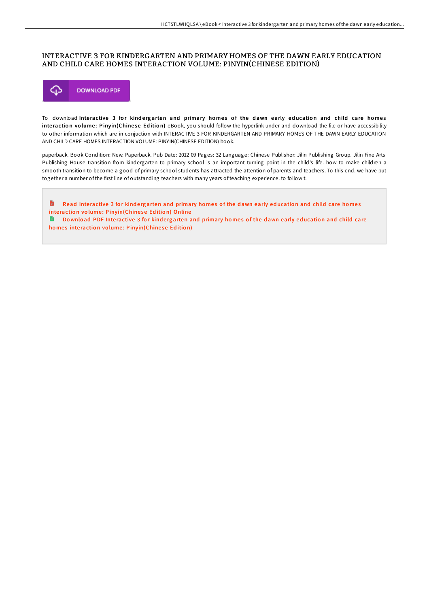## INTERACTIVE 3 FOR KINDERGARTEN AND PRIMARY HOMES OF THE DAWN EARLY EDUCATION AND CHILD CARE HOMES INTERACTION VOLUME: PINYIN(CHINESE EDITION)



To download Interactive 3 for kindergarten and primary homes of the dawn early education and child care homes interaction volume: Pinyin(Chinese Edition) eBook, you should follow the hyperlink under and download the file or have accessibility to other information which are in conjuction with INTERACTIVE 3 FOR KINDERGARTEN AND PRIMARY HOMES OF THE DAWN EARLY EDUCATION AND CHILD CARE HOMES INTERACTION VOLUME: PINYIN(CHINESE EDITION) book.

paperback. Book Condition: New. Paperback. Pub Date: 2012 09 Pages: 32 Language: Chinese Publisher: Jilin Publishing Group. Jilin Fine Arts Publishing House transition from kindergarten to primary school is an important turning point in the child's life. how to make children a smooth transition to become a good of primary school students has attracted the attention of parents and teachers. To this end. we have put together a number of the first line of outstanding teachers with many years of teaching experience. to follow t.

B Read Interactive 3 for kindergarten and primary homes of the dawn early education and child care homes interaction volume: [Pinyin\(Chine](http://almighty24.tech/interactive-3-for-kindergarten-and-primary-homes.html)se Edition) Online

**Download PDF Interactive 3 for kindergarten and primary homes of the dawn early education and child care** homes interaction volume: [Pinyin\(Chine](http://almighty24.tech/interactive-3-for-kindergarten-and-primary-homes.html)se Edition)